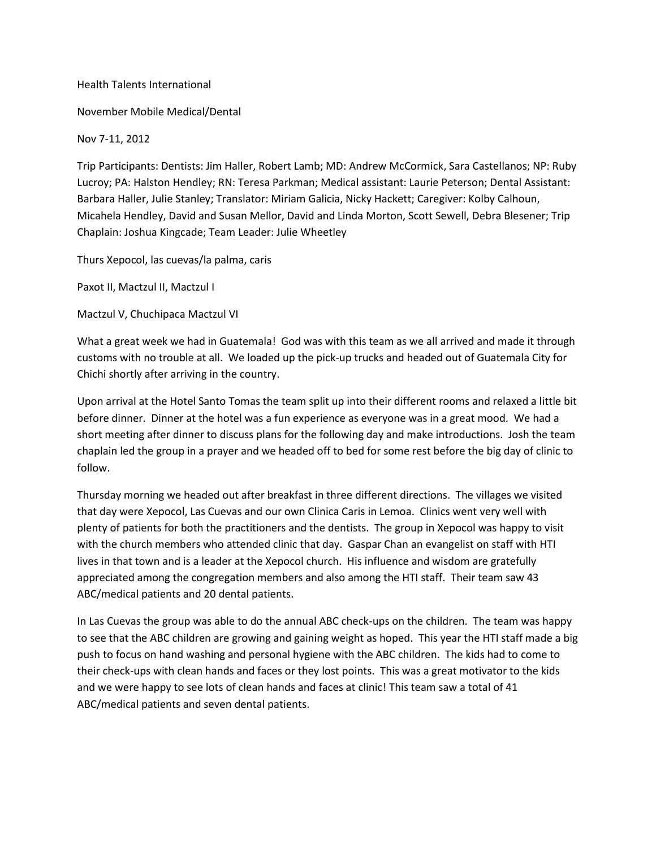## Health Talents International

November Mobile Medical/Dental

Nov 7-11, 2012

Trip Participants: Dentists: Jim Haller, Robert Lamb; MD: Andrew McCormick, Sara Castellanos; NP: Ruby Lucroy; PA: Halston Hendley; RN: Teresa Parkman; Medical assistant: Laurie Peterson; Dental Assistant: Barbara Haller, Julie Stanley; Translator: Miriam Galicia, Nicky Hackett; Caregiver: Kolby Calhoun, Micahela Hendley, David and Susan Mellor, David and Linda Morton, Scott Sewell, Debra Blesener; Trip Chaplain: Joshua Kingcade; Team Leader: Julie Wheetley

Thurs Xepocol, las cuevas/la palma, caris

Paxot II, Mactzul II, Mactzul I

Mactzul V, Chuchipaca Mactzul VI

What a great week we had in Guatemala! God was with this team as we all arrived and made it through customs with no trouble at all. We loaded up the pick-up trucks and headed out of Guatemala City for Chichi shortly after arriving in the country.

Upon arrival at the Hotel Santo Tomas the team split up into their different rooms and relaxed a little bit before dinner. Dinner at the hotel was a fun experience as everyone was in a great mood. We had a short meeting after dinner to discuss plans for the following day and make introductions. Josh the team chaplain led the group in a prayer and we headed off to bed for some rest before the big day of clinic to follow.

Thursday morning we headed out after breakfast in three different directions. The villages we visited that day were Xepocol, Las Cuevas and our own Clinica Caris in Lemoa. Clinics went very well with plenty of patients for both the practitioners and the dentists. The group in Xepocol was happy to visit with the church members who attended clinic that day. Gaspar Chan an evangelist on staff with HTI lives in that town and is a leader at the Xepocol church. His influence and wisdom are gratefully appreciated among the congregation members and also among the HTI staff. Their team saw 43 ABC/medical patients and 20 dental patients.

In Las Cuevas the group was able to do the annual ABC check-ups on the children. The team was happy to see that the ABC children are growing and gaining weight as hoped. This year the HTI staff made a big push to focus on hand washing and personal hygiene with the ABC children. The kids had to come to their check-ups with clean hands and faces or they lost points. This was a great motivator to the kids and we were happy to see lots of clean hands and faces at clinic! This team saw a total of 41 ABC/medical patients and seven dental patients.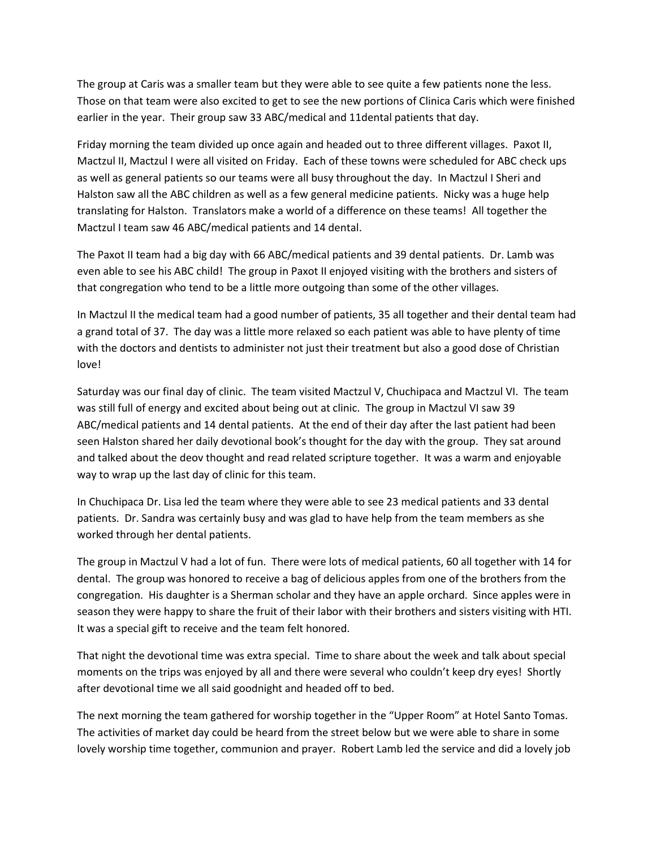The group at Caris was a smaller team but they were able to see quite a few patients none the less. Those on that team were also excited to get to see the new portions of Clinica Caris which were finished earlier in the year. Their group saw 33 ABC/medical and 11dental patients that day.

Friday morning the team divided up once again and headed out to three different villages. Paxot II, Mactzul II, Mactzul I were all visited on Friday. Each of these towns were scheduled for ABC check ups as well as general patients so our teams were all busy throughout the day. In Mactzul I Sheri and Halston saw all the ABC children as well as a few general medicine patients. Nicky was a huge help translating for Halston. Translators make a world of a difference on these teams! All together the Mactzul I team saw 46 ABC/medical patients and 14 dental.

The Paxot II team had a big day with 66 ABC/medical patients and 39 dental patients. Dr. Lamb was even able to see his ABC child! The group in Paxot II enjoyed visiting with the brothers and sisters of that congregation who tend to be a little more outgoing than some of the other villages.

In Mactzul II the medical team had a good number of patients, 35 all together and their dental team had a grand total of 37. The day was a little more relaxed so each patient was able to have plenty of time with the doctors and dentists to administer not just their treatment but also a good dose of Christian love!

Saturday was our final day of clinic. The team visited Mactzul V, Chuchipaca and Mactzul VI. The team was still full of energy and excited about being out at clinic. The group in Mactzul VI saw 39 ABC/medical patients and 14 dental patients. At the end of their day after the last patient had been seen Halston shared her daily devotional book's thought for the day with the group. They sat around and talked about the deov thought and read related scripture together. It was a warm and enjoyable way to wrap up the last day of clinic for this team.

In Chuchipaca Dr. Lisa led the team where they were able to see 23 medical patients and 33 dental patients. Dr. Sandra was certainly busy and was glad to have help from the team members as she worked through her dental patients.

The group in Mactzul V had a lot of fun. There were lots of medical patients, 60 all together with 14 for dental. The group was honored to receive a bag of delicious apples from one of the brothers from the congregation. His daughter is a Sherman scholar and they have an apple orchard. Since apples were in season they were happy to share the fruit of their labor with their brothers and sisters visiting with HTI. It was a special gift to receive and the team felt honored.

That night the devotional time was extra special. Time to share about the week and talk about special moments on the trips was enjoyed by all and there were several who couldn't keep dry eyes! Shortly after devotional time we all said goodnight and headed off to bed.

The next morning the team gathered for worship together in the "Upper Room" at Hotel Santo Tomas. The activities of market day could be heard from the street below but we were able to share in some lovely worship time together, communion and prayer. Robert Lamb led the service and did a lovely job